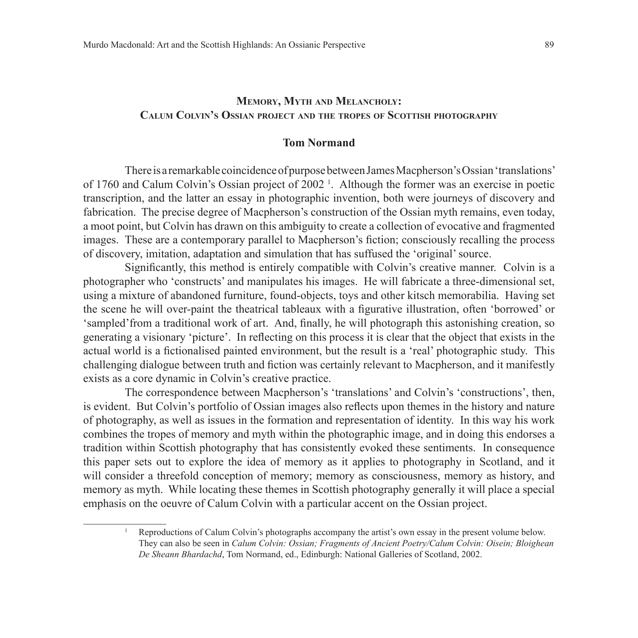# **Memory, Myth and Melancholy: Calum Colvin's Ossian project and the tropes of Scottish photography**

#### **Tom Normand**

There is a remarkable coincidence of purpose between James Macpherson's Ossian 'translations' of 1760 and Calum Colvin's Ossian project of 2002<sup>1</sup>. Although the former was an exercise in poetic transcription, and the latter an essay in photographic invention, both were journeys of discovery and fabrication. The precise degree of Macpherson's construction of the Ossian myth remains, even today, a moot point, but Colvin has drawn on this ambiguity to create a collection of evocative and fragmented images. These are a contemporary parallel to Macpherson's fiction; consciously recalling the process of discovery, imitation, adaptation and simulation that has suffused the 'original' source.

Significantly, this method is entirely compatible with Colvin's creative manner. Colvin is a photographer who 'constructs' and manipulates his images. He will fabricate a three-dimensional set, using a mixture of abandoned furniture, found-objects, toys and other kitsch memorabilia. Having set the scene he will over-paint the theatrical tableaux with a figurative illustration, often 'borrowed' or 'sampled'from a traditional work of art. And, finally, he will photograph this astonishing creation, so generating a visionary 'picture'. In reflecting on this process it is clear that the object that exists in the actual world is a fictionalised painted environment, but the result is a 'real' photographic study. This challenging dialogue between truth and fiction was certainly relevant to Macpherson, and it manifestly exists as a core dynamic in Colvin's creative practice.

The correspondence between Macpherson's 'translations' and Colvin's 'constructions', then, is evident. But Colvin's portfolio of Ossian images also reflects upon themes in the history and nature of photography, as well as issues in the formation and representation of identity. In this way his work combines the tropes of memory and myth within the photographic image, and in doing this endorses a tradition within Scottish photography that has consistently evoked these sentiments. In consequence this paper sets out to explore the idea of memory as it applies to photography in Scotland, and it will consider a threefold conception of memory; memory as consciousness, memory as history, and memory as myth. While locating these themes in Scottish photography generally it will place a special emphasis on the oeuvre of Calum Colvin with a particular accent on the Ossian project.

<sup>1</sup> Reproductions of Calum Colvin's photographs accompany the artist's own essay in the present volume below. They can also be seen in *Calum Colvin: Ossian; Fragments of Ancient Poetry/Calum Colvin: Oisein; Bloighean De Sheann Bhardachd*, Tom Normand, ed., Edinburgh: National Galleries of Scotland, 2002.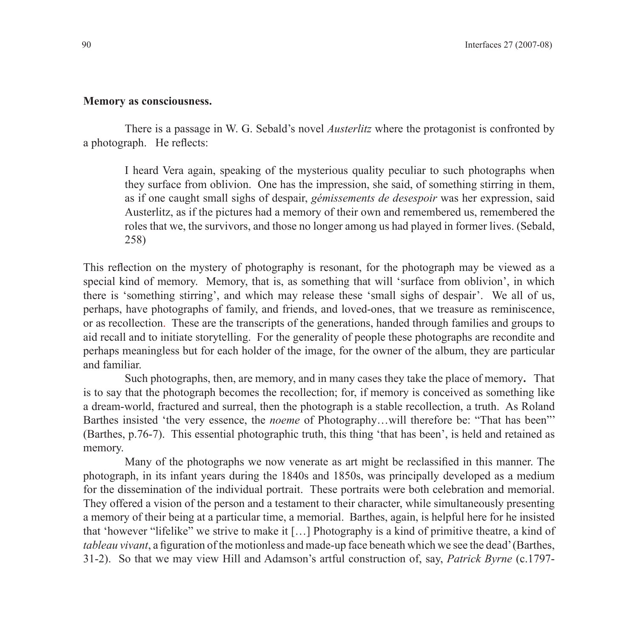## **Memory as consciousness.**

There is a passage in W. G. Sebald's novel *Austerlitz* where the protagonist is confronted by a photograph. He reflects:

I heard Vera again, speaking of the mysterious quality peculiar to such photographs when they surface from oblivion. One has the impression, she said, of something stirring in them, as if one caught small sighs of despair, *gémissements de desespoir* was her expression, said Austerlitz, as if the pictures had a memory of their own and remembered us, remembered the roles that we, the survivors, and those no longer among us had played in former lives. (Sebald, 258)

This reflection on the mystery of photography is resonant, for the photograph may be viewed as a special kind of memory. Memory, that is, as something that will 'surface from oblivion', in which there is 'something stirring', and which may release these 'small sighs of despair'. We all of us, perhaps, have photographs of family, and friends, and loved-ones, that we treasure as reminiscence, or as recollection. These are the transcripts of the generations, handed through families and groups to aid recall and to initiate storytelling. For the generality of people these photographs are recondite and perhaps meaningless but for each holder of the image, for the owner of the album, they are particular and familiar.

Such photographs, then, are memory, and in many cases they take the place of memory**.** That is to say that the photograph becomes the recollection; for, if memory is conceived as something like a dream-world, fractured and surreal, then the photograph is a stable recollection, a truth. As Roland Barthes insisted 'the very essence, the *noeme* of Photography…will therefore be: "That has been"' (Barthes, p.76-7). This essential photographic truth, this thing 'that has been', is held and retained as memory.

Many of the photographs we now venerate as art might be reclassified in this manner. The photograph, in its infant years during the 1840s and 1850s, was principally developed as a medium for the dissemination of the individual portrait. These portraits were both celebration and memorial. They offered a vision of the person and a testament to their character, while simultaneously presenting a memory of their being at a particular time, a memorial. Barthes, again, is helpful here for he insisted that 'however "lifelike" we strive to make it […] Photography is a kind of primitive theatre, a kind of *tableau vivant*, a figuration of the motionless and made-up face beneath which we see the dead' (Barthes, 31-2). So that we may view Hill and Adamson's artful construction of, say, *Patrick Byrne* (c.1797-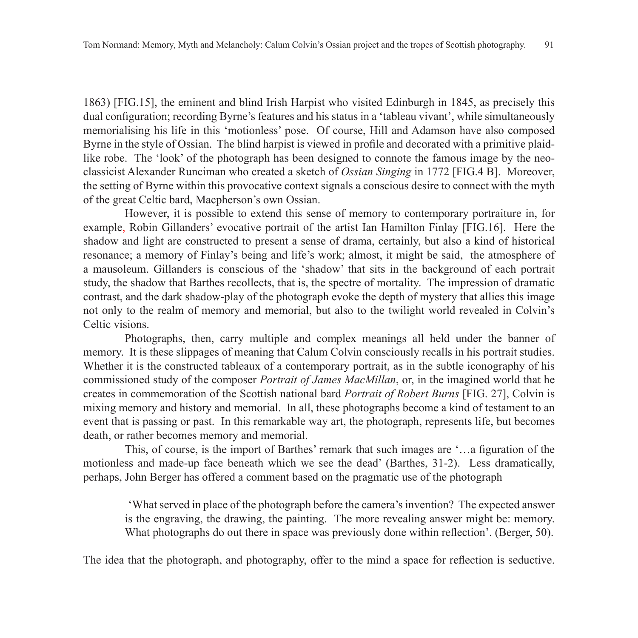1863) [FIG.15], the eminent and blind Irish Harpist who visited Edinburgh in 1845, as precisely this dual configuration; recording Byrne's features and his status in a 'tableau vivant', while simultaneously memorialising his life in this 'motionless' pose. Of course, Hill and Adamson have also composed Byrne in the style of Ossian. The blind harpist is viewed in profile and decorated with a primitive plaidlike robe. The 'look' of the photograph has been designed to connote the famous image by the neoclassicist Alexander Runciman who created a sketch of *Ossian Singing* in 1772 [FIG.4 B]. Moreover, the setting of Byrne within this provocative context signals a conscious desire to connect with the myth of the great Celtic bard, Macpherson's own Ossian.

However, it is possible to extend this sense of memory to contemporary portraiture in, for example, Robin Gillanders' evocative portrait of the artist Ian Hamilton Finlay [FIG.16]. Here the shadow and light are constructed to present a sense of drama, certainly, but also a kind of historical resonance; a memory of Finlay's being and life's work; almost, it might be said, the atmosphere of a mausoleum. Gillanders is conscious of the 'shadow' that sits in the background of each portrait study, the shadow that Barthes recollects, that is, the spectre of mortality. The impression of dramatic contrast, and the dark shadow-play of the photograph evoke the depth of mystery that allies this image not only to the realm of memory and memorial, but also to the twilight world revealed in Colvin's Celtic visions.

Photographs, then, carry multiple and complex meanings all held under the banner of memory. It is these slippages of meaning that Calum Colvin consciously recalls in his portrait studies. Whether it is the constructed tableaux of a contemporary portrait, as in the subtle iconography of his commissioned study of the composer *Portrait of James MacMillan*, or, in the imagined world that he creates in commemoration of the Scottish national bard *Portrait of Robert Burns* [FIG. 27], Colvin is mixing memory and history and memorial. In all, these photographs become a kind of testament to an event that is passing or past. In this remarkable way art, the photograph, represents life, but becomes death, or rather becomes memory and memorial.

This, of course, is the import of Barthes' remark that such images are '…a figuration of the motionless and made-up face beneath which we see the dead' (Barthes, 31-2). Less dramatically, perhaps, John Berger has offered a comment based on the pragmatic use of the photograph

'What served in place of the photograph before the camera's invention? The expected answer is the engraving, the drawing, the painting. The more revealing answer might be: memory. What photographs do out there in space was previously done within reflection'. (Berger, 50).

The idea that the photograph, and photography, offer to the mind a space for reflection is seductive.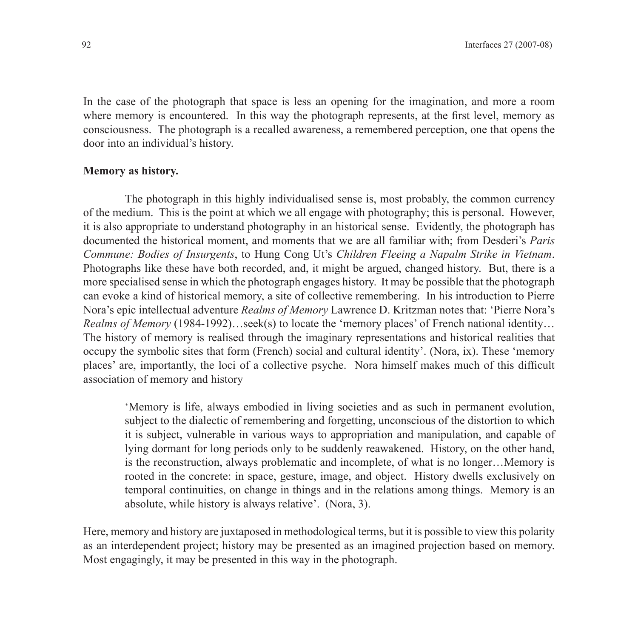In the case of the photograph that space is less an opening for the imagination, and more a room where memory is encountered. In this way the photograph represents, at the first level, memory as consciousness. The photograph is a recalled awareness, a remembered perception, one that opens the door into an individual's history.

#### **Memory as history.**

The photograph in this highly individualised sense is, most probably, the common currency of the medium. This is the point at which we all engage with photography; this is personal. However, it is also appropriate to understand photography in an historical sense. Evidently, the photograph has documented the historical moment, and moments that we are all familiar with; from Desderi's *Paris Commune: Bodies of Insurgents*, to Hung Cong Ut's *Children Fleeing a Napalm Strike in Vietnam*. Photographs like these have both recorded, and, it might be argued, changed history. But, there is a more specialised sense in which the photograph engages history. It may be possible that the photograph can evoke a kind of historical memory, a site of collective remembering. In his introduction to Pierre Nora's epic intellectual adventure *Realms of Memory* Lawrence D. Kritzman notes that: 'Pierre Nora's *Realms of Memory* (1984-1992)…seek(s) to locate the 'memory places' of French national identity… The history of memory is realised through the imaginary representations and historical realities that occupy the symbolic sites that form (French) social and cultural identity'. (Nora, ix). These 'memory places' are, importantly, the loci of a collective psyche. Nora himself makes much of this difficult association of memory and history

'Memory is life, always embodied in living societies and as such in permanent evolution, subject to the dialectic of remembering and forgetting, unconscious of the distortion to which it is subject, vulnerable in various ways to appropriation and manipulation, and capable of lying dormant for long periods only to be suddenly reawakened. History, on the other hand, is the reconstruction, always problematic and incomplete, of what is no longer…Memory is rooted in the concrete: in space, gesture, image, and object. History dwells exclusively on temporal continuities, on change in things and in the relations among things. Memory is an absolute, while history is always relative'. (Nora, 3).

Here, memory and history are juxtaposed in methodological terms, but it is possible to view this polarity as an interdependent project; history may be presented as an imagined projection based on memory. Most engagingly, it may be presented in this way in the photograph.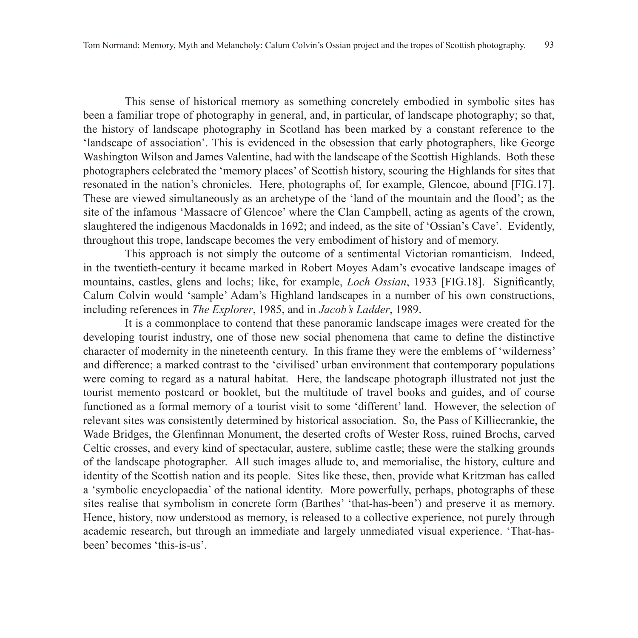This sense of historical memory as something concretely embodied in symbolic sites has been a familiar trope of photography in general, and, in particular, of landscape photography; so that, the history of landscape photography in Scotland has been marked by a constant reference to the 'landscape of association'. This is evidenced in the obsession that early photographers, like George Washington Wilson and James Valentine, had with the landscape of the Scottish Highlands. Both these photographers celebrated the 'memory places' of Scottish history, scouring the Highlands for sites that resonated in the nation's chronicles. Here, photographs of, for example, Glencoe, abound [FIG.17]. These are viewed simultaneously as an archetype of the 'land of the mountain and the flood'; as the site of the infamous 'Massacre of Glencoe' where the Clan Campbell, acting as agents of the crown, slaughtered the indigenous Macdonalds in 1692; and indeed, as the site of 'Ossian's Cave'. Evidently, throughout this trope, landscape becomes the very embodiment of history and of memory.

This approach is not simply the outcome of a sentimental Victorian romanticism. Indeed, in the twentieth-century it became marked in Robert Moyes Adam's evocative landscape images of mountains, castles, glens and lochs; like, for example, *Loch Ossian*, 1933 [FIG.18]. Significantly, Calum Colvin would 'sample' Adam's Highland landscapes in a number of his own constructions, including references in *The Explorer*, 1985, and in *Jacob's Ladder*, 1989.

It is a commonplace to contend that these panoramic landscape images were created for the developing tourist industry, one of those new social phenomena that came to define the distinctive character of modernity in the nineteenth century. In this frame they were the emblems of 'wilderness' and difference; a marked contrast to the 'civilised' urban environment that contemporary populations were coming to regard as a natural habitat. Here, the landscape photograph illustrated not just the tourist memento postcard or booklet, but the multitude of travel books and guides, and of course functioned as a formal memory of a tourist visit to some 'different' land. However, the selection of relevant sites was consistently determined by historical association. So, the Pass of Killiecrankie, the Wade Bridges, the Glenfinnan Monument, the deserted crofts of Wester Ross, ruined Brochs, carved Celtic crosses, and every kind of spectacular, austere, sublime castle; these were the stalking grounds of the landscape photographer. All such images allude to, and memorialise, the history, culture and identity of the Scottish nation and its people. Sites like these, then, provide what Kritzman has called a 'symbolic encyclopaedia' of the national identity. More powerfully, perhaps, photographs of these sites realise that symbolism in concrete form (Barthes' 'that-has-been') and preserve it as memory. Hence, history, now understood as memory, is released to a collective experience, not purely through academic research, but through an immediate and largely unmediated visual experience. 'That-hasbeen' becomes 'this-is-us'.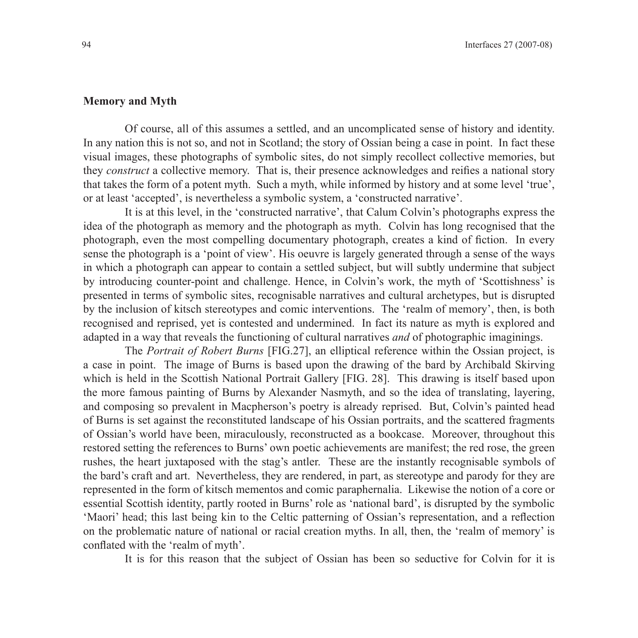## **Memory and Myth**

Of course, all of this assumes a settled, and an uncomplicated sense of history and identity. In any nation this is not so, and not in Scotland; the story of Ossian being a case in point. In fact these visual images, these photographs of symbolic sites, do not simply recollect collective memories, but they *construct* a collective memory. That is, their presence acknowledges and reifies a national story that takes the form of a potent myth. Such a myth, while informed by history and at some level 'true', or at least 'accepted', is nevertheless a symbolic system, a 'constructed narrative'.

It is at this level, in the 'constructed narrative', that Calum Colvin's photographs express the idea of the photograph as memory and the photograph as myth. Colvin has long recognised that the photograph, even the most compelling documentary photograph, creates a kind of fiction. In every sense the photograph is a 'point of view'. His oeuvre is largely generated through a sense of the ways in which a photograph can appear to contain a settled subject, but will subtly undermine that subject by introducing counter-point and challenge. Hence, in Colvin's work, the myth of 'Scottishness' is presented in terms of symbolic sites, recognisable narratives and cultural archetypes, but is disrupted by the inclusion of kitsch stereotypes and comic interventions. The 'realm of memory', then, is both recognised and reprised, yet is contested and undermined. In fact its nature as myth is explored and adapted in a way that reveals the functioning of cultural narratives *and* of photographic imaginings.

The *Portrait of Robert Burns* [FIG.27], an elliptical reference within the Ossian project, is a case in point. The image of Burns is based upon the drawing of the bard by Archibald Skirving which is held in the Scottish National Portrait Gallery [FIG. 28]. This drawing is itself based upon the more famous painting of Burns by Alexander Nasmyth, and so the idea of translating, layering, and composing so prevalent in Macpherson's poetry is already reprised. But, Colvin's painted head of Burns is set against the reconstituted landscape of his Ossian portraits, and the scattered fragments of Ossian's world have been, miraculously, reconstructed as a bookcase. Moreover, throughout this restored setting the references to Burns' own poetic achievements are manifest; the red rose, the green rushes, the heart juxtaposed with the stag's antler. These are the instantly recognisable symbols of the bard's craft and art. Nevertheless, they are rendered, in part, as stereotype and parody for they are represented in the form of kitsch mementos and comic paraphernalia. Likewise the notion of a core or essential Scottish identity, partly rooted in Burns' role as 'national bard', is disrupted by the symbolic 'Maori' head; this last being kin to the Celtic patterning of Ossian's representation, and a reflection on the problematic nature of national or racial creation myths. In all, then, the 'realm of memory' is conflated with the 'realm of myth'.

It is for this reason that the subject of Ossian has been so seductive for Colvin for it is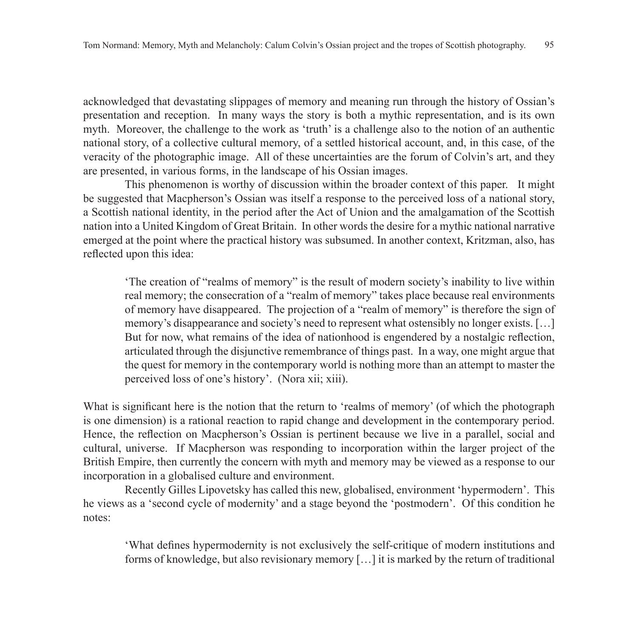acknowledged that devastating slippages of memory and meaning run through the history of Ossian's presentation and reception. In many ways the story is both a mythic representation, and is its own myth. Moreover, the challenge to the work as 'truth' is a challenge also to the notion of an authentic national story, of a collective cultural memory, of a settled historical account, and, in this case, of the veracity of the photographic image. All of these uncertainties are the forum of Colvin's art, and they are presented, in various forms, in the landscape of his Ossian images.

This phenomenon is worthy of discussion within the broader context of this paper. It might be suggested that Macpherson's Ossian was itself a response to the perceived loss of a national story, a Scottish national identity, in the period after the Act of Union and the amalgamation of the Scottish nation into a United Kingdom of Great Britain. In other words the desire for a mythic national narrative emerged at the point where the practical history was subsumed. In another context, Kritzman, also, has reflected upon this idea:

'The creation of "realms of memory" is the result of modern society's inability to live within real memory; the consecration of a "realm of memory" takes place because real environments of memory have disappeared. The projection of a "realm of memory" is therefore the sign of memory's disappearance and society's need to represent what ostensibly no longer exists. […] But for now, what remains of the idea of nationhood is engendered by a nostalgic reflection, articulated through the disjunctive remembrance of things past. In a way, one might argue that the quest for memory in the contemporary world is nothing more than an attempt to master the perceived loss of one's history'. (Nora xii; xiii).

What is significant here is the notion that the return to 'realms of memory' (of which the photograph is one dimension) is a rational reaction to rapid change and development in the contemporary period. Hence, the reflection on Macpherson's Ossian is pertinent because we live in a parallel, social and cultural, universe. If Macpherson was responding to incorporation within the larger project of the British Empire, then currently the concern with myth and memory may be viewed as a response to our incorporation in a globalised culture and environment.

Recently Gilles Lipovetsky has called this new, globalised, environment 'hypermodern'. This he views as a 'second cycle of modernity' and a stage beyond the 'postmodern'. Of this condition he notes:

'What defines hypermodernity is not exclusively the self-critique of modern institutions and forms of knowledge, but also revisionary memory […] it is marked by the return of traditional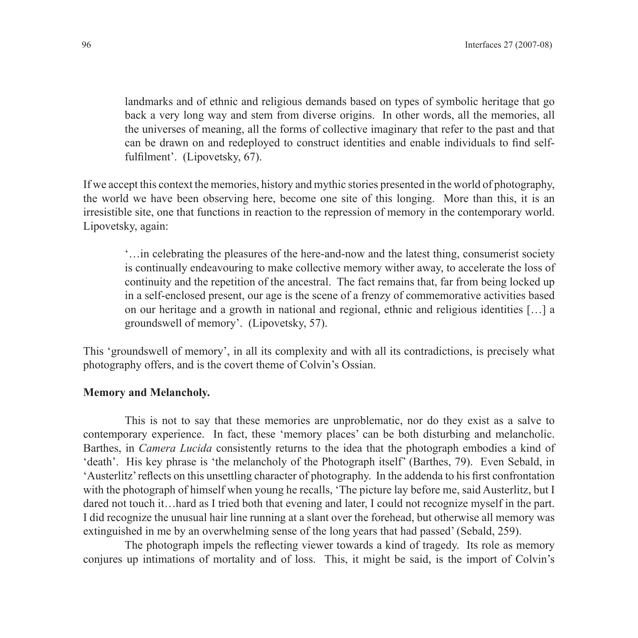landmarks and of ethnic and religious demands based on types of symbolic heritage that go back a very long way and stem from diverse origins. In other words, all the memories, all the universes of meaning, all the forms of collective imaginary that refer to the past and that can be drawn on and redeployed to construct identities and enable individuals to find selffulfilment'. (Lipovetsky, 67).

If we accept this context the memories, history and mythic stories presented in the world of photography, the world we have been observing here, become one site of this longing. More than this, it is an irresistible site, one that functions in reaction to the repression of memory in the contemporary world. Lipovetsky, again:

'…in celebrating the pleasures of the here-and-now and the latest thing, consumerist society is continually endeavouring to make collective memory wither away, to accelerate the loss of continuity and the repetition of the ancestral. The fact remains that, far from being locked up in a self-enclosed present, our age is the scene of a frenzy of commemorative activities based on our heritage and a growth in national and regional, ethnic and religious identities […] a groundswell of memory'. (Lipovetsky, 57).

This 'groundswell of memory', in all its complexity and with all its contradictions, is precisely what photography offers, and is the covert theme of Colvin's Ossian.

#### **Memory and Melancholy.**

This is not to say that these memories are unproblematic, nor do they exist as a salve to contemporary experience. In fact, these 'memory places' can be both disturbing and melancholic. Barthes, in *Camera Lucida* consistently returns to the idea that the photograph embodies a kind of 'death'. His key phrase is 'the melancholy of the Photograph itself' (Barthes, 79). Even Sebald, in 'Austerlitz' reflects on this unsettling character of photography. In the addenda to his first confrontation with the photograph of himself when young he recalls, 'The picture lay before me, said Austerlitz, but I dared not touch it…hard as I tried both that evening and later, I could not recognize myself in the part. I did recognize the unusual hair line running at a slant over the forehead, but otherwise all memory was extinguished in me by an overwhelming sense of the long years that had passed' (Sebald, 259).

The photograph impels the reflecting viewer towards a kind of tragedy. Its role as memory conjures up intimations of mortality and of loss. This, it might be said, is the import of Colvin's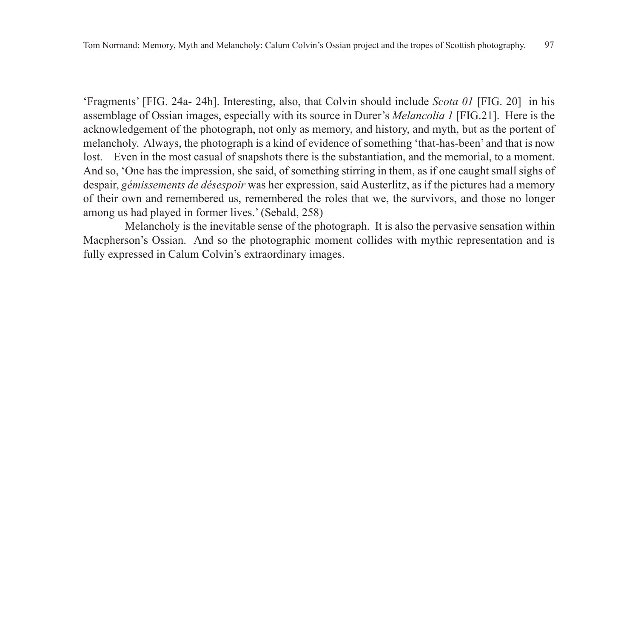'Fragments' [FIG. 24a- 24h]. Interesting, also, that Colvin should include *Scota 01* [FIG. 20] in his assemblage of Ossian images, especially with its source in Durer's *Melancolia 1* [FIG.21]. Here is the acknowledgement of the photograph, not only as memory, and history, and myth, but as the portent of melancholy. Always, the photograph is a kind of evidence of something 'that-has-been' and that is now lost. Even in the most casual of snapshots there is the substantiation, and the memorial, to a moment. And so, 'One has the impression, she said, of something stirring in them, as if one caught small sighs of despair, *gémissements de désespoir* was her expression, said Austerlitz, as if the pictures had a memory of their own and remembered us, remembered the roles that we, the survivors, and those no longer among us had played in former lives.' (Sebald, 258)

Melancholy is the inevitable sense of the photograph. It is also the pervasive sensation within Macpherson's Ossian. And so the photographic moment collides with mythic representation and is fully expressed in Calum Colvin's extraordinary images.